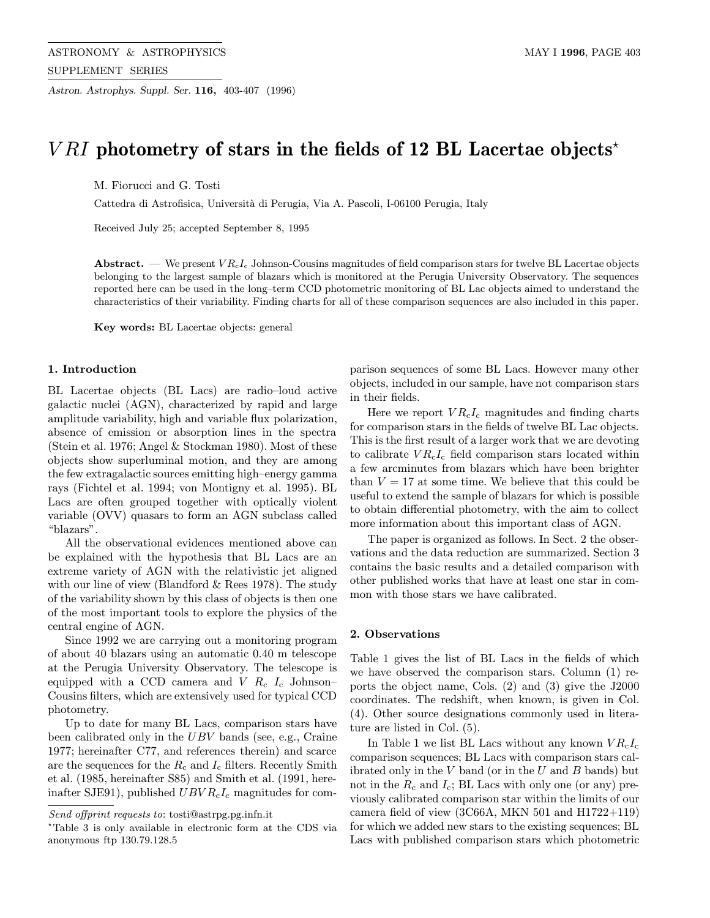Astron. Astrophys. Suppl. Ser. 116, 403-407 (1996)

# *VRI* photometry of stars in the fields of 12 BL Lacertae objects<sup>\*</sup>

M. Fiorucci and G. Tosti

Cattedra di Astrofisica, Università di Perugia, Via A. Pascoli, I-06100 Perugia, Italy

Received July 25; accepted September 8, 1995

**Abstract.** — We present  $VR_{c}I_{c}$  Johnson-Cousins magnitudes of field comparison stars for twelve BL Lacertae objects belonging to the largest sample of blazars which is monitored at the Perugia University Observatory. The sequences reported here can be used in the long–term CCD photometric monitoring of BL Lac objects aimed to understand the characteristics of their variability. Finding charts for all of these comparison sequences are also included in this paper.

Key words: BL Lacertae objects: general

#### 1. Introduction

BL Lacertae objects (BL Lacs) are radio–loud active galactic nuclei (AGN), characterized by rapid and large amplitude variability, high and variable flux polarization, absence of emission or absorption lines in the spectra (Stein et al. 1976; Angel & Stockman 1980). Most of these objects show superluminal motion, and they are among the few extragalactic sources emitting high–energy gamma rays (Fichtel et al. 1994; von Montigny et al. 1995). BL Lacs are often grouped together with optically violent variable (OVV) quasars to form an AGN subclass called "blazars".

All the observational evidences mentioned above can be explained with the hypothesis that BL Lacs are an extreme variety of AGN with the relativistic jet aligned with our line of view (Blandford & Rees 1978). The study of the variability shown by this class of objects is then one of the most important tools to explore the physics of the central engine of AGN.

Since 1992 we are carrying out a monitoring program of about 40 blazars using an automatic 0.40 m telescope at the Perugia University Observatory. The telescope is equipped with a CCD camera and  $V$   $R_c$   $I_c$  Johnson– Cousins filters, which are extensively used for typical CCD photometry.

Up to date for many BL Lacs, comparison stars have been calibrated only in the UBV bands (see, e.g., Craine 1977; hereinafter C77, and references therein) and scarce are the sequences for the  $R_c$  and  $I_c$  filters. Recently Smith et al. (1985, hereinafter S85) and Smith et al. (1991, hereinafter SJE91), published  $UBVR<sub>c</sub>I<sub>c</sub>$  magnitudes for comparison sequences of some BL Lacs. However many other objects, included in our sample, have not comparison stars in their fields.

Here we report  $VR<sub>c</sub>I<sub>c</sub>$  magnitudes and finding charts for comparison stars in the fields of twelve BL Lac objects. This is the first result of a larger work that we are devoting to calibrate  $VR<sub>c</sub>I<sub>c</sub>$  field comparison stars located within a few arcminutes from blazars which have been brighter than  $V = 17$  at some time. We believe that this could be useful to extend the sample of blazars for which is possible to obtain differential photometry, with the aim to collect more information about this important class of AGN.

The paper is organized as follows. In Sect. 2 the observations and the data reduction are summarized. Section 3 contains the basic results and a detailed comparison with other published works that have at least one star in common with those stars we have calibrated.

## 2. Observations

Table 1 gives the list of BL Lacs in the fields of which we have observed the comparison stars. Column (1) reports the object name, Cols. (2) and (3) give the J2000 coordinates. The redshift, when known, is given in Col. (4). Other source designations commonly used in literature are listed in Col. (5).

In Table 1 we list BL Lacs without any known  $VR<sub>c</sub>I<sub>c</sub>$ comparison sequences; BL Lacs with comparison stars calibrated only in the  $V$  band (or in the  $U$  and  $B$  bands) but not in the  $R_c$  and  $I_c$ ; BL Lacs with only one (or any) previously calibrated comparison star within the limits of our camera field of view  $(3C66A, MKN 501$  and  $H1722+119)$ for which we added new stars to the existing sequences; BL Lacs with published comparison stars which photometric

Send offprint requests to: tosti@astrpg.pg.infn.it

<sup>?</sup>Table 3 is only available in electronic form at the CDS via anonymous ftp 130.79.128.5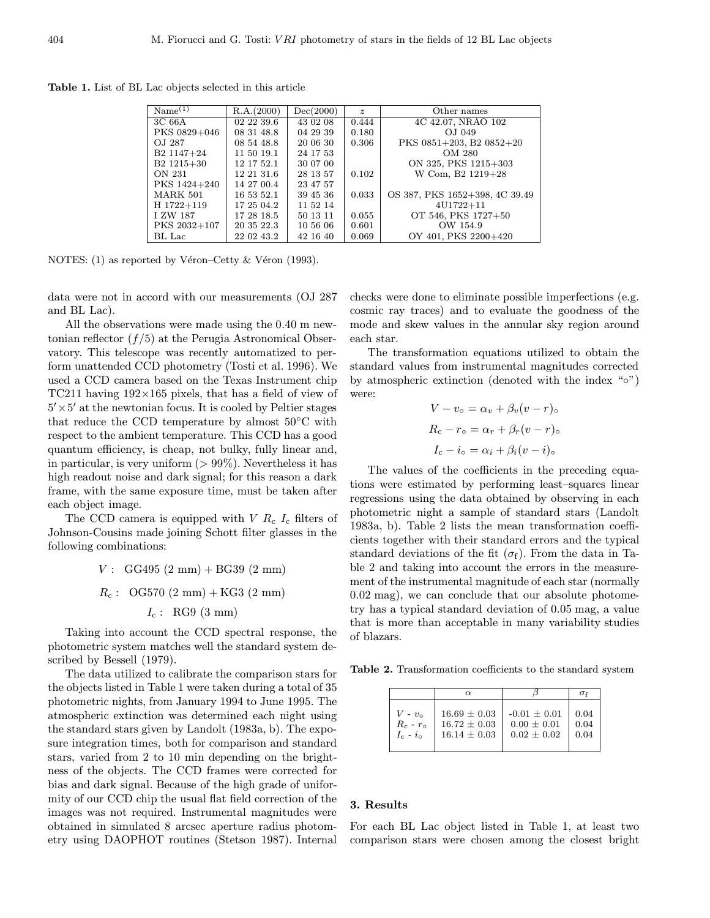Table 1. List of BL Lac objects selected in this article

| $Name^{(1)}$           | R.A.(2000) | Dec(2000) | $\boldsymbol{z}$ | Other names                    |
|------------------------|------------|-----------|------------------|--------------------------------|
|                        |            |           |                  |                                |
| 3C66A                  | 02 22 39.6 | 43 02 08  | 0.444            | 4C 42.07, NRAO 102             |
| PKS 0829+046           | 08 31 48.8 | 04 29 39  | 0.180            | O.J 049                        |
| OJ 287                 | 08 54 48.8 | 20 06 30  | 0.306            | PKS 0851+203, B2 0852+20       |
| B <sub>2</sub> 1147+24 | 11 50 19.1 | 24 17 53  |                  | OM 280                         |
| $B2 1215 + 30$         | 12 17 52.1 | 30 07 00  |                  | ON 325, PKS 1215+303           |
| ON 231                 | 12 21 31 6 | 28 13 57  | 0.102            | W Com, B2 1219+28              |
| PKS 1424+240           | 14 27 00.4 | 23 47 57  |                  |                                |
| <b>MARK 501</b>        | 16 53 52.1 | 39 45 36  | 0.033            | OS 387, PKS 1652+398, 4C 39.49 |
| H 1722+119             | 17 25 04.2 | 11 52 14  |                  | $4U1722 + 11$                  |
| I ZW 187               | 17 28 18.5 | 50 13 11  | 0.055            | OT 546, PKS 1727+50            |
| PKS 2032+107           | 20 35 22.3 | 10 56 06  | 0.601            | OW 154.9                       |
| BL Lac                 | 22 02 43.2 | 42 16 40  | 0.069            | OY 401, PKS 2200+420           |

NOTES: (1) as reported by Véron–Cetty  $&$  Véron (1993).

data were not in accord with our measurements (OJ 287 and BL Lac).

All the observations were made using the 0.40 m newtonian reflector  $(f/5)$  at the Perugia Astronomical Observatory. This telescope was recently automatized to perform unattended CCD photometry (Tosti et al. 1996). We used a CCD camera based on the Texas Instrument chip TC211 having  $192\times165$  pixels, that has a field of view of  $5' \times 5'$  at the newtonian focus. It is cooled by Peltier stages that reduce the CCD temperature by almost 50◦C with respect to the ambient temperature. This CCD has a good quantum efficiency, is cheap, not bulky, fully linear and, in particular, is very uniform  $(> 99\%)$ . Nevertheless it has high readout noise and dark signal; for this reason a dark frame, with the same exposure time, must be taken after each object image.

The CCD camera is equipped with  $V R_c I_c$  filters of Johnson-Cousins made joining Schott filter glasses in the following combinations:

> $V: \text{GG495 (2 mm)} + \text{BG39 (2 mm)}$  $R_c$ : OG570 (2 mm) + KG3 (2 mm)  $I_c$ : RG9 (3 mm)

Taking into account the CCD spectral response, the photometric system matches well the standard system described by Bessell (1979).

The data utilized to calibrate the comparison stars for the objects listed in Table 1 were taken during a total of 35 photometric nights, from January 1994 to June 1995. The atmospheric extinction was determined each night using the standard stars given by Landolt (1983a, b). The exposure integration times, both for comparison and standard stars, varied from 2 to 10 min depending on the brightness of the objects. The CCD frames were corrected for bias and dark signal. Because of the high grade of uniformity of our CCD chip the usual flat field correction of the images was not required. Instrumental magnitudes were obtained in simulated 8 arcsec aperture radius photometry using DAOPHOT routines (Stetson 1987). Internal checks were done to eliminate possible imperfections (e.g. cosmic ray traces) and to evaluate the goodness of the mode and skew values in the annular sky region around each star.

The transformation equations utilized to obtain the standard values from instrumental magnitudes corrected by atmospheric extinction (denoted with the index "◦") were:

$$
V - v_{\circ} = \alpha_v + \beta_v (v - r)_{\circ}
$$
  
\n
$$
R_{\rm c} - r_{\circ} = \alpha_r + \beta_r (v - r)_{\circ}
$$
  
\n
$$
I_{\rm c} - i_{\circ} = \alpha_i + \beta_i (v - i)_{\circ}
$$

The values of the coefficients in the preceding equations were estimated by performing least–squares linear regressions using the data obtained by observing in each photometric night a sample of standard stars (Landolt 1983a, b). Table 2 lists the mean transformation coefficients together with their standard errors and the typical standard deviations of the fit  $(\sigma_f)$ . From the data in Table 2 and taking into account the errors in the measurement of the instrumental magnitude of each star (normally 0.02 mag), we can conclude that our absolute photometry has a typical standard deviation of 0.05 mag, a value that is more than acceptable in many variability studies of blazars.

Table 2. Transformation coefficients to the standard system

|                     | $\alpha$         |                 |      |
|---------------------|------------------|-----------------|------|
| $V - v_{\rm o}$     | $16.69 \pm 0.03$ | $-0.01 + 0.01$  | 0.04 |
| $R_c$ - $r_{\circ}$ | $16.72 + 0.03$   | $0.00 + 0.01$   | 0.04 |
| $I_c - i_{\odot}$   | $16.14 + 0.03$   | $0.02 \pm 0.02$ | 0.04 |

## 3. Results

For each BL Lac object listed in Table 1, at least two comparison stars were chosen among the closest bright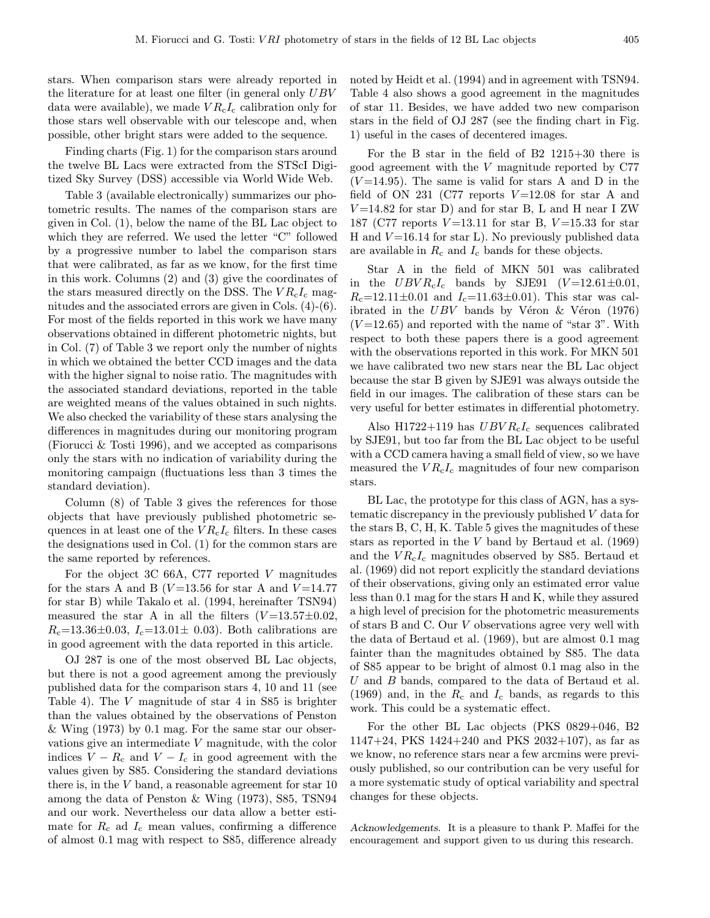stars. When comparison stars were already reported in the literature for at least one filter (in general only UBV data were available), we made  $VR<sub>c</sub>I<sub>c</sub>$  calibration only for those stars well observable with our telescope and, when possible, other bright stars were added to the sequence.

Finding charts (Fig. 1) for the comparison stars around the twelve BL Lacs were extracted from the STScI Digitized Sky Survey (DSS) accessible via World Wide Web.

Table 3 (available electronically) summarizes our photometric results. The names of the comparison stars are given in Col. (1), below the name of the BL Lac object to which they are referred. We used the letter "C" followed by a progressive number to label the comparison stars that were calibrated, as far as we know, for the first time in this work. Columns (2) and (3) give the coordinates of the stars measured directly on the DSS. The  $VR<sub>c</sub>I<sub>c</sub>$  magnitudes and the associated errors are given in Cols. (4)-(6). For most of the fields reported in this work we have many observations obtained in different photometric nights, but in Col. (7) of Table 3 we report only the number of nights in which we obtained the better CCD images and the data with the higher signal to noise ratio. The magnitudes with the associated standard deviations, reported in the table are weighted means of the values obtained in such nights. We also checked the variability of these stars analysing the differences in magnitudes during our monitoring program (Fiorucci & Tosti 1996), and we accepted as comparisons only the stars with no indication of variability during the monitoring campaign (fluctuations less than 3 times the standard deviation).

Column (8) of Table 3 gives the references for those objects that have previously published photometric sequences in at least one of the  $VR<sub>c</sub>I<sub>c</sub>$  filters. In these cases the designations used in Col. (1) for the common stars are the same reported by references.

For the object 3C 66A, C77 reported V magnitudes for the stars A and B ( $V=13.56$  for star A and  $V=14.77$ for star B) while Takalo et al. (1994, hereinafter TSN94) measured the star A in all the filters  $(V=13.57\pm0.02,$  $R_c=13.36\pm0.03, I_c=13.01\pm 0.03$ . Both calibrations are in good agreement with the data reported in this article.

OJ 287 is one of the most observed BL Lac objects, but there is not a good agreement among the previously published data for the comparison stars 4, 10 and 11 (see Table 4). The V magnitude of star 4 in S85 is brighter than the values obtained by the observations of Penston & Wing (1973) by 0.1 mag. For the same star our observations give an intermediate V magnitude, with the color indices  $V - R_c$  and  $V - I_c$  in good agreement with the values given by S85. Considering the standard deviations there is, in the V band, a reasonable agreement for star 10 among the data of Penston & Wing (1973), S85, TSN94 and our work. Nevertheless our data allow a better estimate for  $R_c$  ad  $I_c$  mean values, confirming a difference of almost 0.1 mag with respect to S85, difference already

noted by Heidt et al. (1994) and in agreement with TSN94. Table 4 also shows a good agreement in the magnitudes of star 11. Besides, we have added two new comparison stars in the field of OJ 287 (see the finding chart in Fig. 1) useful in the cases of decentered images.

For the B star in the field of B2 1215+30 there is good agreement with the V magnitude reported by C77  $(V=14.95)$ . The same is valid for stars A and D in the field of ON 231 (C77 reports  $V=12.08$  for star A and  $V=14.82$  for star D) and for star B, L and H near I ZW 187 (C77 reports  $V=13.11$  for star B,  $V=15.33$  for star H and  $V=16.14$  for star L). No previously published data are available in  $R_c$  and  $I_c$  bands for these objects.

Star A in the field of MKN 501 was calibrated in the  $UBVR<sub>c</sub>I<sub>c</sub>$  bands by SJE91 (V=12.61 $\pm$ 0.01,  $R_{\rm c}$ =12.11±0.01 and  $I_{\rm c}$ =11.63±0.01). This star was calibrated in the  $UBV$  bands by Véron  $\&$  Véron (1976)  $(V=12.65)$  and reported with the name of "star 3". With respect to both these papers there is a good agreement with the observations reported in this work. For MKN 501 we have calibrated two new stars near the BL Lac object because the star B given by SJE91 was always outside the field in our images. The calibration of these stars can be very useful for better estimates in differential photometry.

Also H1722+119 has  $UBVR<sub>c</sub>I<sub>c</sub>$  sequences calibrated by SJE91, but too far from the BL Lac object to be useful with a CCD camera having a small field of view, so we have measured the  $VR<sub>c</sub>I<sub>c</sub>$  magnitudes of four new comparison stars.

BL Lac, the prototype for this class of AGN, has a systematic discrepancy in the previously published V data for the stars B, C, H, K. Table 5 gives the magnitudes of these stars as reported in the  $V$  band by Bertaud et al.  $(1969)$ and the  $VR<sub>c</sub>I<sub>c</sub>$  magnitudes observed by S85. Bertaud et al. (1969) did not report explicitly the standard deviations of their observations, giving only an estimated error value less than 0.1 mag for the stars H and K, while they assured a high level of precision for the photometric measurements of stars B and C. Our V observations agree very well with the data of Bertaud et al. (1969), but are almost 0.1 mag fainter than the magnitudes obtained by S85. The data of S85 appear to be bright of almost 0.1 mag also in the U and B bands, compared to the data of Bertaud et al. (1969) and, in the  $R_c$  and  $I_c$  bands, as regards to this work. This could be a systematic effect.

For the other BL Lac objects (PKS 0829+046, B2 1147+24, PKS 1424+240 and PKS 2032+107), as far as we know, no reference stars near a few arcmins were previously published, so our contribution can be very useful for a more systematic study of optical variability and spectral changes for these objects.

Acknowledgements. It is a pleasure to thank P. Maffei for the encouragement and support given to us during this research.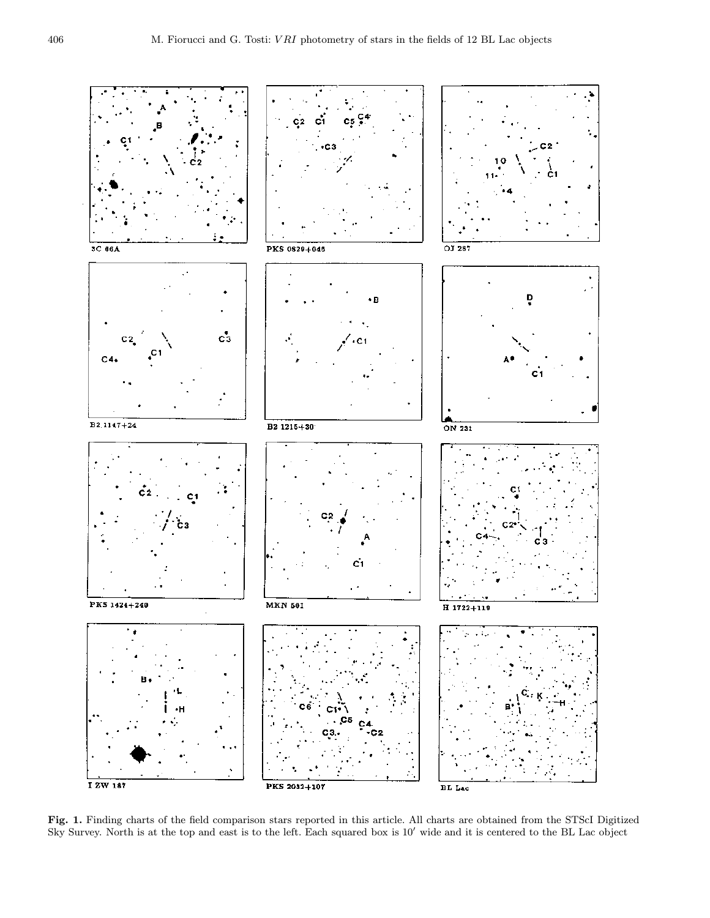

Fig. 1. Finding charts of the field comparison stars reported in this article. All charts are obtained from the STScI Digitized Sky Survey. North is at the top and east is to the left. Each squared box is  $10'$  wide and it is centered to the BL Lac object